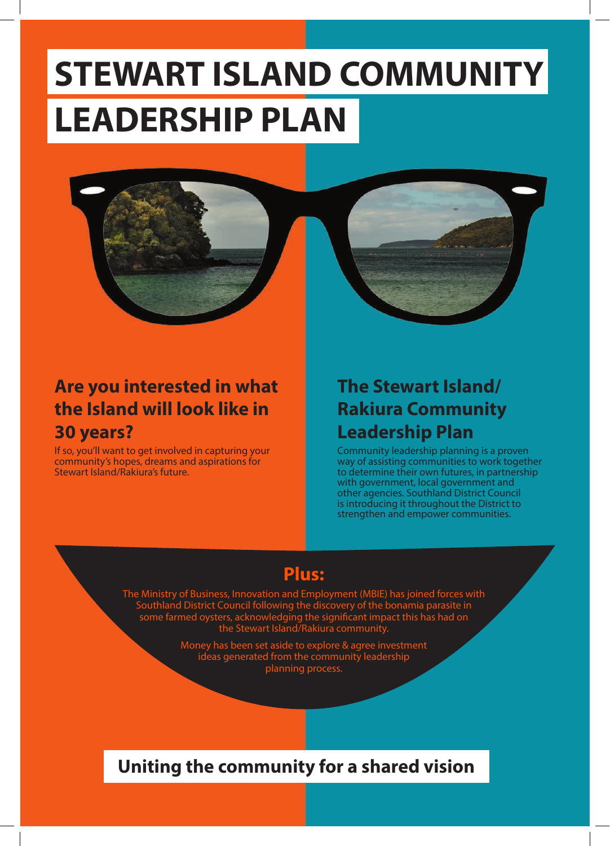# **STEWART ISLAND COMMUNITY LEADERSHIP PLAN**



# **Are you interested in what the Island will look like in 30 years?**

If so, you'll want to get involved in capturing your community's hopes, dreams and aspirations for Stewart Island/Rakiura's future.

# **The Stewart Island/ Rakiura Community Leadership Plan**

Community leadership planning is a proven way of assisting communities to work together to determine their own futures, in partnership with government, local government and other agencies. Southland District Council is introducing it throughout the District to strengthen and empower communities.

# **Plus:**

The Ministry of Business, Innovation and Employment (MBIE) has joined forces with Southland District Council following the discovery of the bonamia parasite in some farmed oysters, acknowledging the significant impact this has had on a the Significant Impact this has had on<br>Rakiura community.

Money has been set aside to explore & agree investment ideas generated from the community leadership planning process.

#### **Uniting the community for a shared vision**